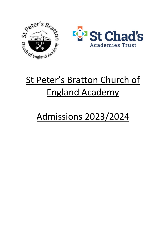



# St Peter's Bratton Church of England Academy

# Admissions 2023/2024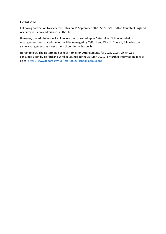#### **FOREWORD:**

Following conversion to academy status on 1<sup>st</sup> September 2021, St Peter's Bratton Church of England Academy is its own admissions authority.

However, our admissions will still follow the consulted upon Determined School Admission Arrangements and our admissions will be managed by Telford and Wrekin Council, following the same arrangements as most other schools in the borough.

Herein follows The Determined School Admission Arrangements for 2023/ 2024, which was consulted upon by Telford and Wrekin Council during Autumn 2020. For further information, please go to[: https://www.telford.gov.uk/info/20026/school\\_admissions](https://www.telford.gov.uk/info/20026/school_admissions)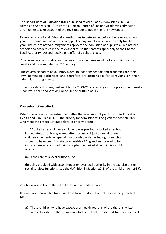The Department of Education (DfE) published revised Codes (Admissions 2014 & Admission Appeals 2012). St Peter's Bratton Church of England Academy's admission arrangements take account of the revisions contained within the new Codes.

Regulations require all Admission Authorities to determine, before the relevant school year, the admission and admission appeal arrangements which are to apply for that year. The co-ordinated arrangements apply to the admission of pupils to all maintained schools and academies in the relevant area, so that parents apply only to their home Local Authority (LA) and receive one offer of a school place.

Any necessary consultation on the co-ordinated scheme must be for a minimum of six weeks and be completed by 31<sup>st</sup> January.

The governing bodies of voluntary aided, foundationsschools and academies are their own admission authorities and therefore are responsible for consulting on their admission arrangements.

Except for date changes, pertinent to the 2023/24 academic year, this policy was consulted upon by Telford and Wrekin Council in the autumn of 2021.

#### **Oversubscription criteria**

When the school is oversubscribed, after the admission of pupils with an Education, Health and Care Plan (EHCP), the priority for admission will be given to those children who meet the criteria set out below, in priority order:

1. A 'looked after child' or a child who was previously looked after but immediately after being looked after became subject to an adoption, child arrangements, or special guardianship order including those who appear to have been in state care outside of England and ceased to be in state care as a result of being adopted. A looked after child is a child who is

(a) in the care of a local authority, or

(b) being provided with accommodation by a local authority in the exercise of their social services functions (see the definition in Section 22(1) of the Children Act 1989).

2. Children who live in the school's defined attendance area.

If places are unavailable for all of these local children, then places will be given first to:

a) Those children who have exceptional health reasons where there is written medical evidence that admission to the school is essential for their medical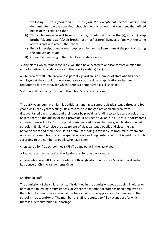wellbeing. *The information must confirm the exceptional medical reason and*  demonstrate how the specified school is the only school that can meet the defined needs of the child, and then

- b) Those children who will have on the day of admission a brother(s), sister(s), step brother(s), step sister(s),half-brother(s) or half-sister(s) living as a family at the same address and who attend the school
- c) Pupils in receipt of early years pupil premium or pupil premium at the point of closing the application round
- d) Other children living in the school's attendance area.

3. Any places which remain available will then be allocated to applicants from outside the school's defined attendance area in the priority order a) to c)

4. Children of staff - children whose parent / guardian is a member of staff who has been employed at the school for two or more years at the time of application or has been recruited to fill a vacancy for which there is a demonstrable skill shortage.

5. Other children living outside of the school's attendance area.

The early years pupil premium is additional funding to support disadvantaged three and four year olds in early years settings. Its aim is to close the gap between children from disadvantaged backgrounds and their peers by providing funding to early years providers to help them raise the quality of their provision. It has been available in all local authority areas in England since April 2015. The pupil premium is additional funding given to state funded schools in England to raise the attainment of disadvantaged pupils and close the gap between them and their peers. Pupil premium funding is available to both mainstream and non-mainstream schools, such as special schools and pupil referral units. It is paid to schools according to the number of pupils who have been:

- registered for free school meals (FSM) at any point in the last 6 years
- looked after by the local authority (in care) for one day or more

• those who have left local authority care through adoption, or via a Special Guardianship, Residence or Child Arrangements Order

# Children of staff

The admission of the children of staff is defined in the admissions code as being in either or both of the following circumstances: a) Where the member of staff has been employed at the school for two or more years at the time at which the application of admission to the school is made, and/or b) The member of staff is recruited to fill a vacant post for which there is a demonstrable skill shortage.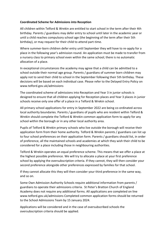# **Coordinated Scheme for Admissions into Reception**

All children within Telford & Wrekin are entitled to start school in the term after their 4th birthday. Parents / guardians may defer entry to school until later in the academic year or until a child reaches compulsory school age (the beginning of the term after their 5th birthday), or may request for their child to attend part-time.

Where summer-born children defer entry until September they will have to re-apply for a place in the following year's admission round. An application must be made to transfer from a nursery class to primary school even within the same school; there is no automatic allocation of a place.

In exceptional circumstances the academy may agree that a child can be admitted to a school outside their normal age group. Parents / guardians of summer born children may apply not to send their child to school in the September following their 5th birthday. These decisions will be based on each individual case. Please refer to the Delayed Entry Policy on www.telford.gov.uk/admissions

The coordinated scheme of admissions into Reception and Year 3 in junior schools is designed to ensure that all children applying for Reception places and Year 3 places in junior schools receive only one offer of a place in a Telford & Wrekin school.

All primary school applications for entry in September 2022 are being co-ordinated across local authority boundaries. Parents / guardians of pupils who are resident within Telford & Wrekin should complete the Telford & Wrekin common application form to apply for any school within the borough or in any other local authority area.

Pupils of Telford & Wrekin primary schools who live outside the borough will receive their application form from their home authority. Telford & Wrekin parents / guardians can list up to four school preferences on their application form. Parents / guardians should list, in order of preference, all the maintained schools and academies at which they wish their child to be considered for a place including those in neighbouring authorities.

Telford & Wrekin operates an equal preference scheme. This means that we offer a place at the highest possible preference. We will try to allocate a place at your first preference school by applying the oversubscription criteria. If they cannot, they will then consider your second preference alongside other preferences expressed by families for that school.

If they cannot allocate this they will then consider your third preference in the same way, and so on.

Some Own Admission Authority Schools require additional information from parents / guardians to operate their admissions criteria. St Peter's Bratton Church of England Academy does not require any additional forms. All applications are completed on line www.telford.gov.uk/admissions Completed common application forms should be returned to the School Admissions Team by 15 January 2024.

Applications will be considered and in the case of oversubscribed schools the oversubscription criteria should be applied.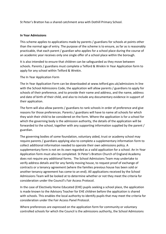St Peter's Bratton has a shared catchment area with Dothill Primary School.

#### **In Year Admissions**

This scheme applies to applications made by parents / guardians for schools at points other than the normal age of entry. The purpose of the scheme is to ensure, as far as is reasonably practicable, that each parent / guardian who applies for a school place during the course of an academic year receives only one single offer of a school place within the borough.

It is also intended to ensure that children can be safeguarded as they move between schools. Parents / guardians must complete a Telford & Wrekin In Year Application form to apply for any school within Telford & Wrekin.

### The In Year Application Form

The In Year Application Form can be downloaded at www.telford.gov.uk/admissions In line with the School Admissions Code, the application will allow parents / guardians to apply for schools of their preference, and to provide their name and address, and the name, address and date of birth of their child, and also to include any documentary evidence in support of their application.

The form will also allow parents / guardians to rank schools in order of preference and give reasons for those preferences. Parents / guardians will have to name all schools for which they wish their child to be considered on the form. Where the application is for a school for which the governing body is the admission authority, the details of the application will be forwarded to the school, together with any supporting information supplied by the parent / guardian.

The governing bodies of some foundation, voluntary aided, trust or academy school may require parents / guardians applying also to complete a supplementary information form to collect additional information needed to operate their own admissions policy. A supplementary form is not on its own regarded as a valid application for a school. An In-Year Application form must also be completed. St Peter's Bratton Church of England Academy does not require any additional forms. The School Admissions Team may undertake to verify address details and for any family moving house, to request proof of exchange of contracts or a tenancy agreement (where the families previous house has been sold or another tenancy agreement has come to an end). All applications received by the School Admissions Team will be looked at to determine whether or not they meet the criteria for consideration under the Council's Fair Access Protocol.

In the case of Electively Home Educated (EHE) pupils seeking a school place, the application is made known to the Advisory Teacher for EHE children before the application is shared with schools. This enables the local authority to identify pupils that may meet the criteria for consideration under the Fair Access Panel Protocol.

Where preferences are expressed on the application form for community or voluntary controlled schools for which the Council is the admissions authority, the School Admissions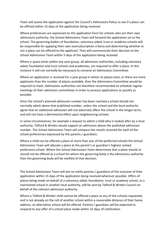Team will assess the application against the Council's Admissions Policy to see if a place can be offered within 15 days of the application being received.

Where preferences are expressed on the application form for schools who are their own admissions authority, the School Admissions Team will forward the application on to the school. The governing bodies of foundation, voluntary aided, trust or academy schools will be responsible for applying their own oversubscription criteria and determining whether or not a place can be offered to the applicant. They will communicate their decision to the School Admissions Team within 5 days of the application being received.

Where a space exists within any year group, all admission authorities, including voluntary aided, foundation and trust schools and academies, are required to offer a place. In this instance it will not normally be necessary to convene an Admissions Committee.

Where an application is received for a year group in which no places exist, or there are more applicants than the number of places available, then the Admissions Committee would be required to meet. Admissions authorities are therefore recommended to schedule regular meetings of their admission committees in order to process applications as quickly as possible.

Once the school's planned admission number has been reached a school should not normally admit above that published number, unless the school and the local authority agree that an additional admission will not adversely affect the school in the longer term, and will not have a detrimental effect upon neighbouring schools.

In some circumstances, for example a request to admit a child who is looked after by a local authority, Telford & Wrekin would support an admission above the published admission number. The School Admissions Team will compare the results received for each of the school preferences expressed by the parents / guardians.

Where a child can be offered a place at more than one of the preferred schools the School Admissions Team will allocate a place at the parent's or guardian's highest ranked preference school. Where the School Admissions Team determines that a place should or should not be offered at a school for whom the governing body is the admissions authority then the governing body will be notified of that decision.

The School Admissions Team will aim to notify parents / guardians of the outcome of their application within 15 days of the application being received wherever possible. Offers of places being made on behalf of a voluntary aided, foundation, trust or academy school, or a maintained school in another local authority, will be sent by Telford & Wrekin Council on behalf of the relevant admission authority.

Where a Telford & Wrekin child cannot be offered a place at any of the schools requested, and is not already on the roll of another school within a reasonable distance of their home address, an alternative school will be offered. Parents / guardians will be expected to respond to any offer of a school place made within 15 days of notification.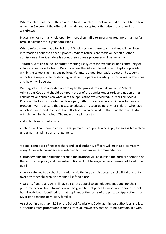Where a place has been offered at a Telford & Wrekin school we would expect it to be taken up within 6 weeks of the offer being made and accepted; otherwise the offer will be withdrawn.

Places are not normally held open for more than half a term or allocated more than half a term in advance for in-year admissions.

Where refusals are made for Telford & Wrekin schools parents / guardians will be given information about the appeals process. Where refusals are made on behalf of other admissions authorities, details about their appeals processes will be passed on.

Telford & Wrekin Council operates a waiting list system for oversubscribed community or voluntary controlled schools. Details on how the lists will be set up and kept are provided within the school's admissions policies. Voluntary aided, foundation, trust and academy schools are responsible for deciding whether to operate a waiting list for in year admissions and how it will operate.

Waiting lists will be operated according to the procedures laid down in the School Admissions Code and should be kept in order of the admissions criteria and not on other considerations such as on what date the application was received. In-Year Fair Access Protocol The local authority has developed, with its Headteachers, an in year fair access protocol (FAP) to ensure that access to education is secured quickly for children who have no school place, and to ensure that all schools in an area admit their fair share of children with challenging behaviour. The main principles are that:

• all schools must participate

• schools will continue to admit the large majority of pupils who apply for an available place under normal admission arrangements

A panel composed of headteachers and local authority officers will meet approximately every 3 weeks to consider cases referred to it and make recommendations

• arrangements for admission through the protocol will be outside the normal operation of the admissions policy and oversubscription will not be regarded as a reason not to admit a pupil

• pupils referred to a school or academy via the in-year fair access panel will take priority over any other children on a waiting list for a place

• parents / guardians will still have a right to appeal to an independent panel for their preferred school, but information will be given to that panel if a more appropriate school has already been identified for that pupil under the terms of the protocol Applications from UK crown servants or military families

As set out in paragraph 2.18 of the School Admissions Code, admission authorities and local authorities must process applications from UK crown servants or UK military families with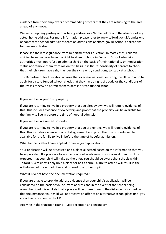evidence from their employers or commanding officers that they are returning to the area ahead of any move.

We will accept any posting or quartering address as a 'home' address in the absence of any actual home address. For more information please refer to www.telford.gov.uk/admissions or contact the school admissions team on admissions@telford.gov.uk School applications for overseas children

Please see the latest guidance from Department for Education. In most cases, children arriving from overseas have the right to attend schools in England. School admission authorities must not refuse to admit a child on the basis of their nationality or immigration status nor remove them from roll on this basis. It is the responsibility of parents to check that their children have a right, under their visa entry conditions, to study at a school.

The Department for Education advises that overseas nationals entering the UK who wish to apply for a state-funded school, check that they have a right of abode or the conditions of their visas otherwise permit them to access a state-funded school.

If you will live in your own property

If you are returning to live in a property that you already own we will require evidence of this. This includes evidence of ownership and proof that the property will be available for the family to live in before the time of hopeful admission.

If you will live in a rented property

If you are returning to live in a property that you are renting, we will require evidence of this. This includes evidence of a rental agreement and proof that the property will be available for the family to live in before the time of hopeful admission.

What happens after I have applied for an in year application?

Your application will be processed and a place allocated based on the information that you have provided. If a place is allocated at a school in advance of your arrival then it will be expected that your child will take up the offer. You should be aware that schools within Telford & Wrekin will only hold a place for half a term. Failure to attend will result in the withdrawal of the school offer and offered to another pupil.

What if I do not have the documentation required?

If you are unable to provide address evidence then your child's application will be considered on the basis of your current address and in the event of the school being oversubscribed it is unlikely that a place will be offered due to the distance concerned, in this circumstance, your child will not receive an offer of an alternative school place until you are actually resident in the UK.

Applying in the transition round – year reception and secondary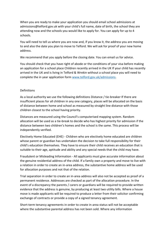When you are ready to make your application you should email school admissions at admissions@telford.gov.uk with your child's full name, date of birth, the school they are attending now and the schools you would like to apply for. You can apply for up to 4 schools.

You will need to tell us where you are now and, if you know it, the address you are moving to and also the date you plan to move to Telford. We will ask for proof of your new home address.

We recommend that you apply before the closing date. You can email us for advice.

You should check that you have right of abode or the conditions of your visa before making an application for a school place Children recently arrived in the UK If your child has recently arrived in the UK and is living in Telford & Wrekin without a school place you will need to complete the in year application form [www.telford.gov.uk/admissions.](http://www.telford.gov.uk/admissions)

# **Definitions**

As a local authority we use the following definitions Distance / tie-breaker If there are insufficient places for all children in any one category, places will be allocated on the basis of distance between home and school as measured by straight line distance with those children closest to the school having priority.

Distances are measured using the Council's computerised mapping system. Random allocation will be used as a tie-break to decide who has highest priority for admission if the distance between two children's homes and the school is the same. This process will be independently verified.

Electively Home Educated (EHE) - Children who are electively home educated are children whose parent or guardian has undertaken the decision to take full responsibility for their child's education themselves. They have to ensure their child receives an education that is suitable to their age, aptitude and ability and any special needs that the child may have.

Fraudulent or Misleading Information - All applicants must give accurate information about the genuine residential address of the child. If a family own a property and move to live with a relation in order to create an in-area address, the substantive home address will be used for allocation purposes and not that of the relation.

Trial separation in order to create an in-area address will also not be accepted as proof of a permanent residence. Addresses are checked as part of the allocation procedure. In the event of a discrepancy the parents / carers or guardians will be required to provide written evidence that the address is genuine, by producing at least two utility bills. Where a house move is made applicants will be required to produce a letter from their solicitor confirming exchange of contracts or provide a copy of a signed tenancy agreement.

Short-term tenancy agreements in order to create in-area status will not be acceptable where the substantive parental address has not been sold. Where any information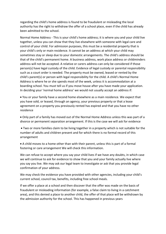regarding the child's home address is found to be fraudulent or misleading the local authority has the right to withdraw the offer of a school place, even if the child has already been admitted to the school.

Normal Home Address - This is your child's home address; it is where you and your child live together, unless you can show that they live elsewhere with someone with legal care and control of your child. For admission purposes, this must be a residential property that is your child's only or main residence. It cannot be an address at which your child may sometimes stay or sleep due to your domestic arrangements. The child's address should be that of the child's permanent home. A business address, work place address or childminders address will not be accepted. A relative or carers address can only be considered if those person(s) have legal custody of the child. Evidence of legal custody or parental responsibility such as a court order is needed. The property must be owned, leased or rented by the child's parent(s) or person with legal responsibility for the child. A child's Normal Home Address is where he or she spends most of the week, unless it is accommodation at a boarding school. You must tell us if you move house after you have made your application. In deciding your 'normal home address' we would not usually accept an address if:

• You or your family have a second home elsewhere as a main residence. We expect that you have sold, or leased, through an agency, your previous property or that a lease agreement on a property you previously rented has expired and that you have no other residence

• Only part of a family has moved out of the Normal Home Address unless this was part of a divorce or permanent separation arrangement. If this is the case we will ask for evidence

• Two or more families claim to be living together in a property which is not suitable for the number of adults and children present and for which there is no formal record of this arrangement

• A child moves to a home other than with their parent, unless this is part of a formal fostering or care arrangement We will check this information.

We can refuse to accept where you say your child lives if we have any doubts, in which case we will continue to ask for evidence to show that you and your family actually live where you say you live. We may ask our legal team to investigate or ask that you provide legal confirmation of your address.

We may check the evidence you have provided with other agencies, including your child's current school, council tax, benefits, including free school meals.

If we offer a place at a school and then discover that the offer was made on the basis of fraudulent or misleading information (for example, a false claim to living in a catchment area), and this denied a place to another child, the offer of that place will be withdrawn by the admission authority for the school. This has happened in previous years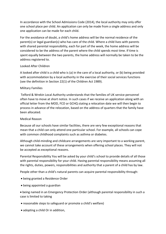In accordance with the School Admissions Code (2014), the local authority may only offer one school place per child. An application can only be made from a single address and only one application can be made for each child.

For the avoidance of doubt, a child's home address will be the normal residence of the parent(s) or legal guardian(s) who has care of the child. Where a child lives with parents with shared parental responsibility, each for part of the week, the home address will be considered to be the address of the parent where the child spends most time. If time is spent equally between the two parents, the home address will normally be taken to be the address registered to.

### Looked After Children

A looked after child is a child who is (a) in the care of a local authority, or (b) being provided with accommodation by a local authority in the exercise of their social services functions (see the definition in Section 22(1) of the Children Act 1989).

### Military Families

Telford & Wrekin Local Authority understands that the families of UK service personnel often have to move at short notice. In such cases if we receive an application along with an official letter from the MOD, FCO or GCHQ stating a relocation date we will then begin to process in advance of the relocation, based on the address of quarters that the family have been allocated.

# Medical Reason

Because all our schools have similar facilities, there are very few exceptional reasons that mean that a child can only attend one particular school. For example, all schools can cope with common childhood complaints such as asthma or diabetes.

Although child-minding and childcare arrangements are very important to a working parent, we cannot take account of these arrangements when offering school places. They will not be accepted as exceptional reasons.

Parental Responsibility You will be asked by your child's school to provide details of all those with parental responsibility for your child. Having parental responsibility means assuming all the rights, duties, powers, responsibilities and authority that a parent of a child has by law.

People other than a child's natural parents can acquire parental responsibility through:

- being granted a Residence Order
- being appointed a guardian

• being named in an Emergency Protection Order (although parental responsibility in such a case is limited to taking

- reasonable steps to safeguard or promote a child's welfare)
- adopting a child Or in addition,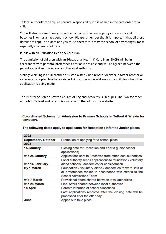· a local authority can acquire parental responsibility if it is named in the care order for a child

You will also be asked how you can be contacted in an emergency in case your child becomes ill or has an accident in school. Please remember that it is important that all these details are kept up-to-date and you must, therefore, notify the school of any changes, most especially changes of address.

Pupils with an Education Health & Care Plan

The admission of children with an Educational Health & Care Plan (EHCP) will be in accordance with parental preference as far as is possible and will be agreed between the parent / guardian, the school and the local authority.

Siblings A sibling is a full brother or sister, a step / half brother or sister, a foster brother or sister or an adopted brother or sister living at the same address as the child for whom the application is being made.

The PAN for St Peter's Bratton Church of England Academy is 60 pupils. The PAN for other schools in Telford and Wrekin is available on the admissions website.

# Co-ordinated Scheme for Admission to Primary Schools in Telford & Wrekin for 2023/2024

| 2022                       |                                                                       |
|----------------------------|-----------------------------------------------------------------------|
| <b>September / October</b> | Promotion of applying for a school place                              |
| 2023                       |                                                                       |
| 15 January                 | Closing date for Reception and Year 3 (junior school<br>applications) |
| w/c 24 January             | Applications sent to / received from other local authorities          |
|                            | Local authority sends applications to foundation / voluntary          |
| w/c 14 February            | aided schools / academies for consideration                           |
| <b>By 1 March</b>          | Foundation / voluntary aided / academies forward lists of             |
|                            | all preferences ranked in accordance with criteria to the             |
|                            | <b>School Admissions Team</b>                                         |
| w/c 7 March                | Provisional offers shared between local authorities                   |
| w/c 28 March               | Final offers shared between local authorities                         |
| 18 April                   | Parents informed of school allocations                                |
|                            | Late applications received after the closing date will be             |
|                            | processed after the offer day.                                        |
| June                       | Appeals to take place                                                 |

# The following dates apply to applicants for Reception / Infant to Junior places